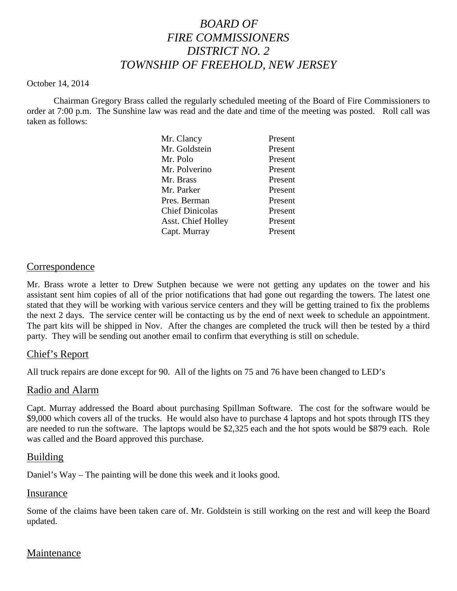# *BOARD OF FIRE COMMISSIONERS DISTRICT NO. 2 TOWNSHIP OF FREEHOLD, NEW JERSEY*

#### October 14, 2014

Chairman Gregory Brass called the regularly scheduled meeting of the Board of Fire Commissioners to order at 7:00 p.m. The Sunshine law was read and the date and time of the meeting was posted. Roll call was taken as follows:

| Mr. Clancy                | Present |
|---------------------------|---------|
| Mr. Goldstein             | Present |
| Mr. Polo                  | Present |
| Mr. Polverino             | Present |
| Mr. Brass                 | Present |
| Mr. Parker                | Present |
| Pres. Berman              | Present |
| <b>Chief Dinicolas</b>    | Present |
| <b>Asst. Chief Holley</b> | Present |
| Capt. Murray              | Present |
|                           |         |

## Correspondence

Mr. Brass wrote a letter to Drew Sutphen because we were not getting any updates on the tower and his assistant sent him copies of all of the prior notifications that had gone out regarding the towers. The latest one stated that they will be working with various service centers and they will be getting trained to fix the problems the next 2 days. The service center will be contacting us by the end of next week to schedule an appointment. The part kits will be shipped in Nov. After the changes are completed the truck will then be tested by a third party. They will be sending out another email to confirm that everything is still on schedule.

## Chief's Report

All truck repairs are done except for 90. All of the lights on 75 and 76 have been changed to LED's

## Radio and Alarm

Capt. Murray addressed the Board about purchasing Spillman Software. The cost for the software would be \$9,000 which covers all of the trucks. He would also have to purchase 4 laptops and hot spots through ITS they are needed to run the software. The laptops would be \$2,325 each and the hot spots would be \$879 each. Role was called and the Board approved this purchase.

## Building

Daniel's Way – The painting will be done this week and it looks good.

#### Insurance

Some of the claims have been taken care of. Mr. Goldstein is still working on the rest and will keep the Board updated.

## Maintenance